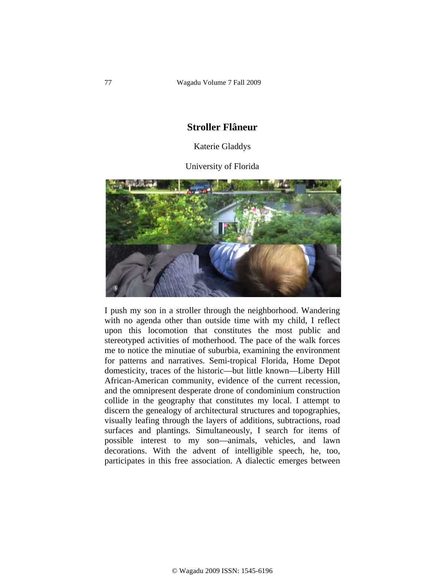## **Stroller Flâneur**

## Katerie Gladdys

University of Florida



I push my son in a stroller through the neighborhood. Wandering with no agenda other than outside time with my child, I reflect upon this locomotion that constitutes the most public and stereotyped activities of motherhood. The pace of the walk forces me to notice the minutiae of suburbia, examining the environment for patterns and narratives. Semi-tropical Florida, Home Depot domesticity, traces of the historic—but little known—Liberty Hill African-American community, evidence of the current recession, and the omnipresent desperate drone of condominium construction collide in the geography that constitutes my local. I attempt to discern the genealogy of architectural structures and topographies, visually leafing through the layers of additions, subtractions, road surfaces and plantings. Simultaneously, I search for items of possible interest to my son—animals, vehicles, and lawn decorations. With the advent of intelligible speech, he, too, participates in this free association. A dialectic emerges between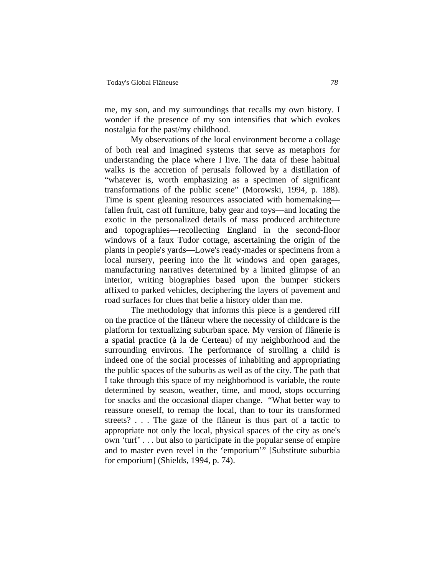me, my son, and my surroundings that recalls my own history. I wonder if the presence of my son intensifies that which evokes nostalgia for the past/my childhood.

My observations of the local environment become a collage of both real and imagined systems that serve as metaphors for understanding the place where I live. The data of these habitual walks is the accretion of perusals followed by a distillation of "whatever is, worth emphasizing as a specimen of significant transformations of the public scene" (Morowski, 1994, p. 188). Time is spent gleaning resources associated with homemaking fallen fruit, cast off furniture, baby gear and toys—and locating the exotic in the personalized details of mass produced architecture and topographies—recollecting England in the second-floor windows of a faux Tudor cottage, ascertaining the origin of the plants in people's yards—Lowe's ready-mades or specimens from a local nursery, peering into the lit windows and open garages, manufacturing narratives determined by a limited glimpse of an interior, writing biographies based upon the bumper stickers affixed to parked vehicles, deciphering the layers of pavement and road surfaces for clues that belie a history older than me.

 The methodology that informs this piece is a gendered riff on the practice of the flâneur where the necessity of childcare is the platform for textualizing suburban space. My version of flânerie is a spatial practice (à la de Certeau) of my neighborhood and the surrounding environs. The performance of strolling a child is indeed one of the social processes of inhabiting and appropriating the public spaces of the suburbs as well as of the city. The path that I take through this space of my neighborhood is variable, the route determined by season, weather, time, and mood, stops occurring for snacks and the occasional diaper change. "What better way to reassure oneself, to remap the local, than to tour its transformed streets? . . . The gaze of the flâneur is thus part of a tactic to appropriate not only the local, physical spaces of the city as one's own 'turf' . . . but also to participate in the popular sense of empire and to master even revel in the 'emporium'" [Substitute suburbia for emporium] (Shields, 1994, p. 74).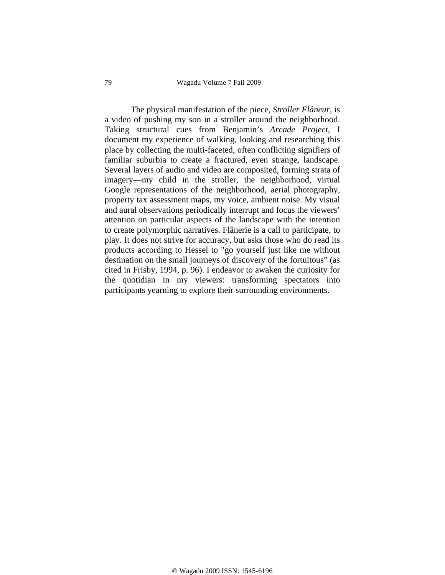79 Wagadu Volume 7 Fall 2009

 The physical manifestation of the piece, *Stroller Flâneur*, is a video of pushing my son in a stroller around the neighborhood. Taking structural cues from Benjamin's *Arcade Project*, I document my experience of walking, looking and researching this place by collecting the multi-faceted, often conflicting signifiers of familiar suburbia to create a fractured, even strange, landscape. Several layers of audio and video are composited, forming strata of imagery—my child in the stroller, the neighborhood, virtual Google representations of the neighborhood, aerial photography, property tax assessment maps, my voice, ambient noise. My visual and aural observations periodically interrupt and focus the viewers' attention on particular aspects of the landscape with the intention to create polymorphic narratives. Flânerie is a call to participate, to play. It does not strive for accuracy, but asks those who do read its products according to Hessel to "go yourself just like me without destination on the small journeys of discovery of the fortuitous" (as cited in Frisby, 1994, p. 96). I endeavor to awaken the curiosity for the quotidian in my viewers: transforming spectators into participants yearning to explore their surrounding environments.